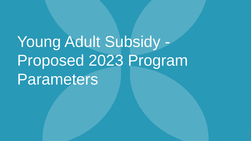# Young Adult Subsidy - Proposed 2023 Program Parameters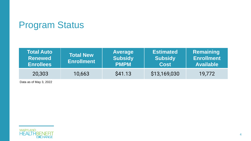# Program Status

| <b>Total Auto</b><br><b>Renewed</b><br><b>Enrollees</b> | <b>Total New</b><br><b>Enrollment</b> | <b>Average</b><br><b>Subsidy</b><br><b>PMPM</b> | <b>Estimated</b><br><b>Subsidy</b><br><b>Cost</b> | <b>Remaining</b><br><b>Enrollment</b><br><b>Available</b> |
|---------------------------------------------------------|---------------------------------------|-------------------------------------------------|---------------------------------------------------|-----------------------------------------------------------|
| 20,303                                                  | 10,663                                | S41.13                                          | \$13,169,030                                      | 19,772                                                    |

Data as of May 3, 2022

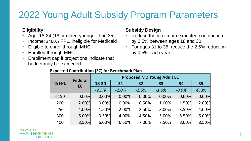# 2022 Young Adult Subsidy Program Parameters

#### **Eligibility**

- Age: 18-34 (18 or older; younger than 35)
- Income: ≤400% FPL, ineligible for Medicaid
- Eligible to enroll through MHC
- Enrolled through MHC
- Enrollment cap if projections indicate that budget may be exceeded

#### **Subsidy Design**

- Reduce the maximum expected contribution by 2.5% between ages 18 and 30
- For ages 31 to 35, reduce the 2.5% reduction by 0.5% each year

|            | <b>Federal</b><br><b>EC</b> | <b>Proposed MD Young Adult EC</b> |         |         |         |         |         |
|------------|-----------------------------|-----------------------------------|---------|---------|---------|---------|---------|
| % FPL      |                             | 18-30                             | 31      | 32      | 33      | 34      | 35      |
|            |                             | $-2.5%$                           | $-2.0%$ | $-1.5%$ | $-1.0%$ | $-0.5%$ | $-0.0%$ |
| $\leq 150$ | 0.00%                       | 0.00%                             | 0.00%   | 0.00%   | 0.00%   | 0.00%   | 0.00%   |
| 200        | 2.00%                       | 0.00%                             | 0.00%   | 0.50%   | 1.00%   | 1.50%   | 2.00%   |
| 250        | 4.00%                       | 1.50%                             | 2.00%   | 2.50%   | 3.00%   | 3.50%   | 4.00%   |
| 300        | 6.00%                       | 3.50%                             | 4.00%   | 4.50%   | 5.00%   | 5.50%   | 6.00%   |
| 400        | 8.50%                       | 6.00%                             | 6.50%   | 7.00%   | 7.50%   | 8.00%   | 8.50%   |

#### **Expected Contribution (EC) for Benchmark Plan**

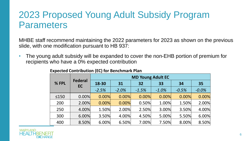## 2023 Proposed Young Adult Subsidy Program Parameters

MHBE staff recommend maintaining the 2022 parameters for 2023 as shown on the previous slide, with one modification pursuant to HB 937:

• The young adult subsidy will be expanded to cover the non-EHB portion of premium for recipients who have a 0% expected contribution

|            | <b>Federal</b><br><b>EC</b> | <b>MD Young Adult EC</b> |         |         |         |         |         |
|------------|-----------------------------|--------------------------|---------|---------|---------|---------|---------|
| % FPL      |                             | 18-30                    | 31      | 32      | 33      | 34      | 35      |
|            |                             | $-2.5%$                  | $-2.0%$ | $-1.5%$ | $-1.0%$ | $-0.5%$ | $-0.0%$ |
| $\leq 150$ | 0.00%                       | 0.00%                    | 0.00%   | 0.00%   | 0.00%   | 0.00%   | 0.00%   |
| 200        | 2.00%                       | 0.00%                    | 0.00%   | 0.50%   | 1.00%   | 1.50%   | 2.00%   |
| 250        | 4.00%                       | 1.50%                    | 2.00%   | 2.50%   | 3.00%   | 3.50%   | 4.00%   |
| 300        | 6.00%                       | 3.50%                    | 4.00%   | 4.50%   | 5.00%   | 5.50%   | 6.00%   |
| 400        | 8.50%                       | 6.00%                    | 6.50%   | 7.00%   | 7.50%   | 8.00%   | 8.50%   |

**Expected Contribution (EC) for Benchmark Plan**

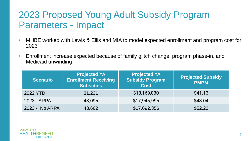# 2023 Proposed Young Adult Subsidy Program Parameters - Impact

- MHBE worked with Lewis & Ellis and MIA to model expected enrollment and program cost for 2023
- Enrollment increase expected because of family glitch change, program phase-in, and Medicaid unwinding

| <b>Scenario</b> | <b>Projected YA</b><br><b>Enrollment Receiving</b><br><b>Subsidies</b> | <b>Projected YA</b><br><b>Subsidy Program</b><br><b>Cost</b> | <b>Projected Subsidy</b><br><b>PMPM</b> |
|-----------------|------------------------------------------------------------------------|--------------------------------------------------------------|-----------------------------------------|
| 2022 YTD        | 31,231                                                                 | \$13,169,030                                                 | \$41.13                                 |
| 2023 - ARPA     | 48,095                                                                 | \$17,945,995                                                 | \$43.04                                 |
| 2023 - No ARPA  | 43,662                                                                 | \$17,692,356                                                 | \$52.22                                 |

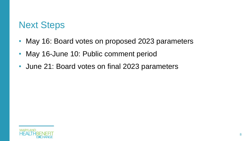### Next Steps

- May 16: Board votes on proposed 2023 parameters
- May 16-June 10: Public comment period
- June 21: Board votes on final 2023 parameters